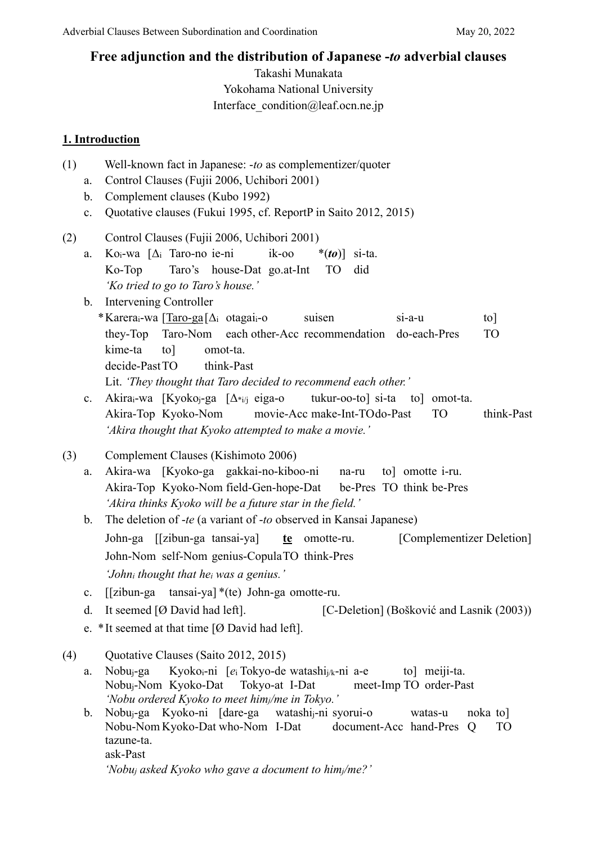# **Free adjunction and the distribution of Japanese -***to* **adverbial clauses**

Takashi Munakata Yokohama National University Interface\_condition@leaf.ocn.ne.jp

# **1. Introduction**

| (1) | a.<br>b.<br>c. | Well-known fact in Japanese: -to as complementizer/quoter<br>Control Clauses (Fujii 2006, Uchibori 2001)<br>Complement clauses (Kubo 1992)<br>Quotative clauses (Fukui 1995, cf. ReportP in Saito 2012, 2015) |
|-----|----------------|---------------------------------------------------------------------------------------------------------------------------------------------------------------------------------------------------------------|
| (2) | a.             | Control Clauses (Fujii 2006, Uchibori 2001)<br>Ko <sub>i</sub> -wa $[\Delta_i]$ Taro-no ie-ni<br>ik-oo<br>* $(to)$ ] si-ta.                                                                                   |
|     |                | <b>TO</b><br>did<br>Ko-Top<br>Taro's house-Dat go.at-Int<br>'Ko tried to go to Taro's house.'                                                                                                                 |
|     | b.             | <b>Intervening Controller</b>                                                                                                                                                                                 |
|     |                | * Karera <sub>i</sub> -wa [Taro-ga <sup>[</sup> $\Delta$ <sub>i</sub> otagai <sub>i</sub> -o<br>$si$ -a-u<br>$\lceil \text{to} \rceil$<br>suisen                                                              |
|     |                | <b>TO</b><br>Taro-Nom each other-Acc recommendation do-each-Pres<br>they-Top                                                                                                                                  |
|     |                | kime-ta<br>$\text{to}$<br>omot-ta.                                                                                                                                                                            |
|     |                | decide-Past TO<br>think-Past                                                                                                                                                                                  |
|     |                | Lit. 'They thought that Taro decided to recommend each other.'                                                                                                                                                |
|     | $\mathbf{c}.$  | Akira <sub>i</sub> -wa [Kyokoj-ga [ $\Delta^*$ <sub>i/j</sub> eiga-o tukur-oo-to] si-ta<br>to] omot-ta.<br>Akira-Top Kyoko-Nom movie-Acc make-Int-TOdo-Past<br><b>TO</b><br>think-Past                        |
|     |                | 'Akira thought that Kyoko attempted to make a movie.'                                                                                                                                                         |
|     |                |                                                                                                                                                                                                               |
| (3) |                | Complement Clauses (Kishimoto 2006)                                                                                                                                                                           |
|     | a.             | Akira-wa [Kyoko-ga gakkai-no-kiboo-ni na-ru<br>to] omotte i-ru.                                                                                                                                               |
|     |                | Akira-Top Kyoko-Nom field-Gen-hope-Dat be-Pres TO think be-Pres                                                                                                                                               |
|     |                | 'Akira thinks Kyoko will be a future star in the field.'                                                                                                                                                      |
|     | b.             | The deletion of -te (a variant of -to observed in Kansai Japanese)                                                                                                                                            |
|     |                | [Complementizer Deletion]<br>John-ga [[zibun-ga tansai-ya]<br>$te$ omotte-ru.                                                                                                                                 |
|     |                | John-Nom self-Nom genius-CopulaTO think-Pres                                                                                                                                                                  |
|     |                | 'Johni thought that hei was a genius.'                                                                                                                                                                        |
|     | $\mathbf{c}.$  | [[zibun-ga tansai-ya] *(te) John-ga omotte-ru.                                                                                                                                                                |
|     | d.             | It seemed [Ø David had left].<br>[C-Deletion] (Bošković and Lasnik (2003))                                                                                                                                    |
|     |                | e. *It seemed at that time $[Ø$ David had left].                                                                                                                                                              |
|     |                |                                                                                                                                                                                                               |
| (4) |                | Quotative Clauses (Saito 2012, 2015)                                                                                                                                                                          |
|     | a.             | Kyoko <sub>i</sub> -ni [ $e_i$ Tokyo-de watashi <sub>j/k</sub> -ni a-e<br>to] meiji-ta.<br>Nobu <sub>i</sub> -ga<br>Nobu <sub>i</sub> -Nom Kyoko-Dat Tokyo-at I-Dat<br>meet-Imp TO order-Past                 |
|     |                | 'Nobu ordered Kyoko to meet himj/me in Tokyo.'                                                                                                                                                                |
|     | b.             | Nobu <sub>j</sub> -ga Kyoko-ni [dare-ga watashi <sub>j</sub> -ni syorui-o<br>noka to<br>watas-u                                                                                                               |
|     |                | Nobu-Nom Kyoko-Dat who-Nom I-Dat<br>document-Acc hand-Pres<br><b>TO</b><br>Q                                                                                                                                  |
|     |                | tazune-ta.                                                                                                                                                                                                    |
|     |                | ask-Past                                                                                                                                                                                                      |
|     |                | 'Nobuj asked Kyoko who gave a document to himj/me?'                                                                                                                                                           |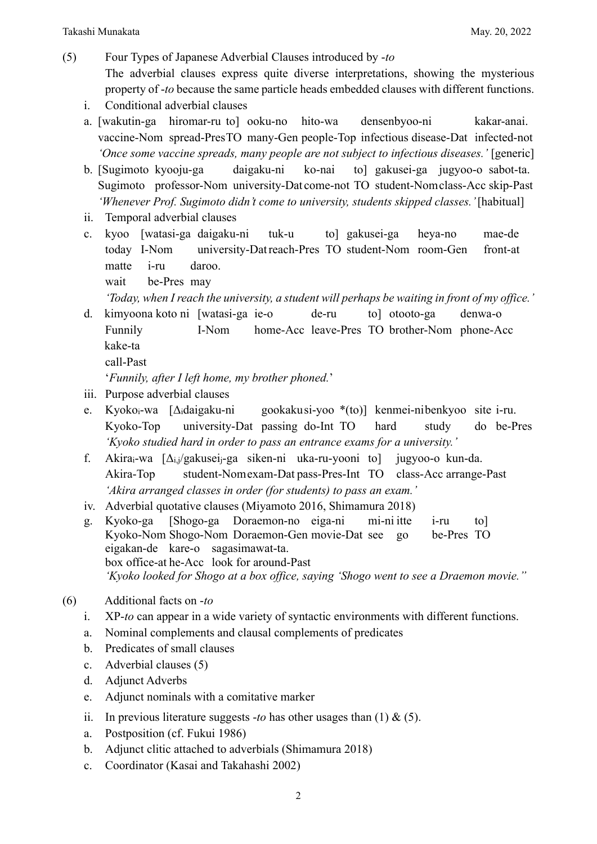- (5) Four Types of Japanese Adverbial Clauses introduced by -*to* The adverbial clauses express quite diverse interpretations, showing the mysterious property of -*to* because the same particle heads embedded clauses with different functions.
	- i. Conditional adverbial clauses
	- a. [wakutin-ga hiromar-ru to] ooku-no hito-wa densenbyoo-ni kakar-anai. vaccine-Nom spread-PresTO many-Gen people-Top infectious disease-Dat infected-not *'Once some vaccine spreads, many people are not subject to infectious diseases.'* [generic]
	- b. [Sugimoto kyooju-ga daigaku-ni ko-nai to] gakusei-ga jugyoo-o sabot-ta. Sugimoto professor-Nom university-Dat come-not TO student-Nomclass-Acc skip-Past *'Whenever Prof. Sugimoto didn't come to university, students skipped classes.'* [habitual]
	- ii. Temporal adverbial clauses
	- c. kyoo [watasi-ga daigaku-ni tuk-u to] gakusei-ga heya-no mae-de today I-Nom university-Datreach-Pres TO student-Nom room-Gen front-at matte i-ru daroo.

wait be-Pres may

*'Today, when I reach the university, a student will perhaps be waiting in front of my office.'*

d. kimyoona koto ni [watasi-ga ie-o de-ru to] otooto-ga denwa-o Funnily I-Nom home-Acc leave-Pres TO brother-Nom phone-Acc kake-ta

```
call-Past
```
'*Funnily, after I left home, my brother phoned.*'

- iii. Purpose adverbial clauses
- e. Kyokoi-wa [Δidaigaku-ni gookakusi-yoo \*(to)] kenmei-nibenkyoo site i-ru. Kyoko-Top university-Dat passing do-Int TO hard study do be-Pres *'Kyoko studied hard in order to pass an entrance exams for a university.'*
- f. Akirai-wa [Δi,j/gakuseij-ga siken-ni uka-ru-yooni to] jugyoo-o kun-da. Akira-Top student-Nomexam-Dat pass-Pres-Int TO class-Acc arrange-Past *'Akira arranged classes in order (for students) to pass an exam.'*
- iv. Adverbial quotative clauses (Miyamoto 2016, Shimamura 2018)
- g. Kyoko-ga [Shogo-ga Doraemon-no eiga-ni mi-ni itte i-ru to] Kyoko-Nom Shogo-Nom Doraemon-Gen movie-Dat see go be-Pres TO eigakan-de kare-o sagasimawat-ta. box office-at he-Acc look for around-Past *'Kyoko looked for Shogo at a box office, saying 'Shogo went to see a Draemon movie.''*

## (6) Additional facts on -*to*

- i. XP-*to* can appear in a wide variety of syntactic environments with different functions.
- a. Nominal complements and clausal complements of predicates
- b. Predicates of small clauses
- c. Adverbial clauses (5)
- d. Adjunct Adverbs
- e. Adjunct nominals with a comitative marker
- ii. In previous literature suggests -*to* has other usages than  $(1) \& (5)$ .
- a. Postposition (cf. Fukui 1986)
- b. Adjunct clitic attached to adverbials (Shimamura 2018)
- c. Coordinator (Kasai and Takahashi 2002)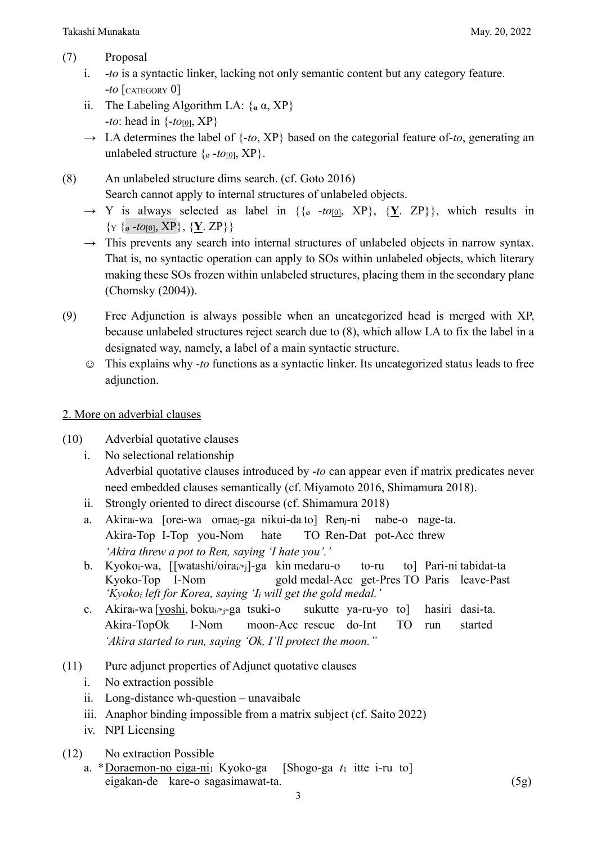- (7) Proposal
	- i. -*to* is a syntactic linker, lacking not only semantic content but any category feature. -*to* [CATEGORY 0]
	- ii. The Labeling Algorithm LA:  $\{a \alpha, XP\}$ -*to*: head in {-*to*[0], XP}
	- → LA determines the label of {-*to*, XP} based on the categorial feature of-*to*, generating an unlabeled structure  $\{ \sigma \text{-} to \text{[0]}, \text{XP} \}.$
- (8) An unlabeled structure dims search. (cf. Goto 2016) Search cannot apply to internal structures of unlabeled objects.
	- $\rightarrow$  Y is always selected as label in  $\{\{g -t\rho[0], XP\}, \{Y, ZP\}\}\$ , which results in  $\{Y \subseteq \{ \sigma - t \mid I \in \mathbb{R} \} \}$ ,  $\{Y \subseteq \{Y\} \}$
	- $\rightarrow$  This prevents any search into internal structures of unlabeled objects in narrow syntax. That is, no syntactic operation can apply to SOs within unlabeled objects, which literary making these SOs frozen within unlabeled structures, placing them in the secondary plane (Chomsky (2004)).
- (9) Free Adjunction is always possible when an uncategorized head is merged with XP, because unlabeled structures reject search due to (8), which allow LA to fix the label in a designated way, namely, a label of a main syntactic structure.
	- ☺ This explains why -*to* functions as a syntactic linker. Its uncategorized status leads to free adjunction.

## 2. More on adverbial clauses

- (10) Adverbial quotative clauses
	- i. No selectional relationship Adverbial quotative clauses introduced by -*to* can appear even if matrix predicates never need embedded clauses semantically (cf. Miyamoto 2016, Shimamura 2018).
	- ii. Strongly oriented to direct discourse (cf. Shimamura 2018)
	- a. Akirai-wa [orei-wa omaej-ga nikui-da to] Renj-ni nabe-o nage-ta. Akira-Top I-Top you-Nom hate TO Ren-Dat pot-Acc threw *'Akira threw a pot to Ren, saying 'I hate you'.'*
	- b. Kyoko<sub>i</sub>-wa, [[watashi/oira<sub>i/\*i</sub>]-ga kin medaru-o to-ru to] Pari-ni tabidat-ta Kyoko-Top I-Nom gold medal-Acc get-Pres TO Paris leave-Past *'Kyokoi left for Korea, saying 'Ii will get the gold medal.'*
	- c. Akira<sub>i</sub>-wa [yoshi, boku<sub>i/\*j</sub>-ga tsuki-o sukutte ya-ru-yo to] hasiri dasi-ta. Akira-TopOk I-Nom moon-Acc rescue do-Int TO run started *'Akira started to run, saying 'Ok, I'll protect the moon.''*
- (11) Pure adjunct properties of Adjunct quotative clauses
	- i. No extraction possible
	- ii. Long-distance wh-question unavaibale
	- iii. Anaphor binding impossible from a matrix subject (cf. Saito 2022)
	- iv. NPI Licensing
- (12) No extraction Possible
	- a. \*Doraemon-no eiga-ni1 Kyoko-ga [Shogo-ga *t*<sup>1</sup> itte i-ru to] eigakan-de kare-o sagasimawat-ta. (5g)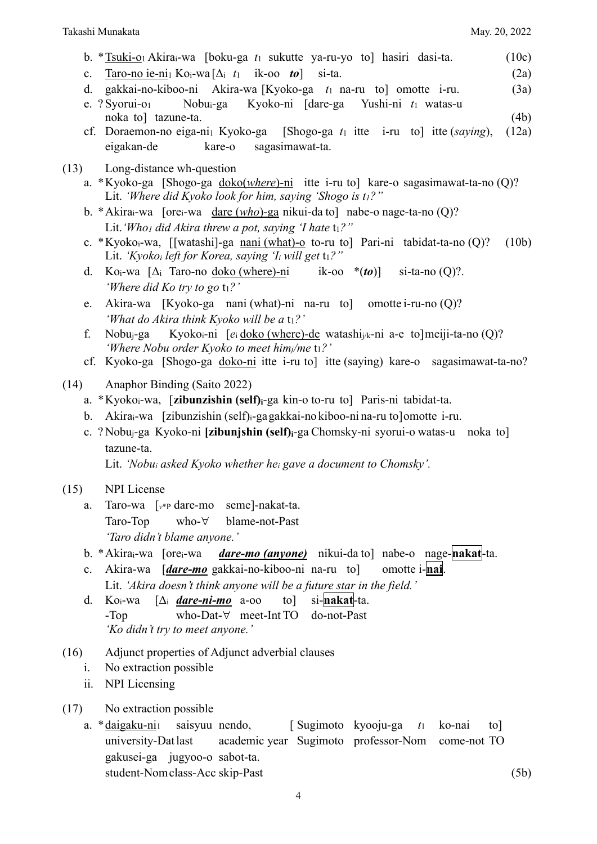- b. \*Tsuki-o1 Akirai-wa [boku-ga *t*<sup>1</sup> sukutte ya-ru-yo to] hasiri dasi-ta. (10c)
- c. Taro-no ie-ni<sub>1</sub> Ko<sub>i</sub>-wa  $[\Delta_i t_1$  ik-oo *to* si-ta. (2a)
- d. gakkai-no-kiboo-ni Akira-wa [Kyoko-ga *t*<sup>1</sup> na-ru to] omotte i-ru. (3a)
- e. ? Syorui-o1 Nobui-ga Kyoko-ni [dare-ga Yushi-ni *t*<sup>1</sup> watas-u noka to] tazune-ta. (4b)
- cf. Doraemon-no eiga-ni1 Kyoko-ga [Shogo-ga *t*<sup>1</sup> itte i-ru to] itte (*saying*), (12a) eigakan-de kare-o sagasimawat-ta.
- (13) Long-distance wh-question
	- a. \*Kyoko-ga [Shogo-ga doko(*where*)-ni itte i-ru to] kare-o sagasimawat-ta-no (Q)? Lit. *'Where did Kyoko look for him, saying 'Shogo is t1?''*
	- b. \*Akirai-wa [orei-wa dare (*who*)-ga nikui-da to] nabe-o nage-ta-no (Q)? Lit. 'Who<sub>1</sub> did Akira threw a pot, saying 'I hate  $t_1$ ?"
	- c. \*Kyokoi-wa, [[watashi]-ga nani (what)-o to-ru to] Pari-ni tabidat-ta-no (Q)? (10b) Lit. *'Kyoko<sub>i</sub> left for Korea, saying 'I<sub>i</sub> will get t<sub>1</sub>?''*
	- d. Koi-wa [Δ<sup>i</sup> Taro-no doko (where)-ni ik-oo \*(*to*)] si-ta-no (Q)?. *'Where did Ko try to go t<sub>1</sub>?'*
	- e. Akira-wa [Kyoko-ga nani (what)-ni na-ru to] omotte i-ru-no (Q)? *'What do Akira think Kyoko will be a* t<sub>1</sub>?'
	- f. Nobuj-ga Kyokoi-ni [*e*<sup>i</sup> doko (where)-de watashij/k-ni a-e to]meiji-ta-no (Q)? *'Where Nobu order Kyoko to meet himj/me* t1*?'*
	- cf. Kyoko-ga [Shogo-ga doko-ni itte i-ru to] itte (saying) kare-o sagasimawat-ta-no?

(14) Anaphor Binding (Saito 2022)

- a. \*Kyokoi-wa, [**zibunzishin (self)i**-ga kin-o to-ru to] Paris-ni tabidat-ta.
- b. Akirai-wa [zibunzishin (self)i-gagakkai-no kiboo-ni na-ru to]omotte i-ru.
- c. ? Nobuj-ga Kyoko-ni **[zibunjshin (self)i**-ga Chomsky-ni syorui-o watas-u noka to] tazune-ta.

Lit. *'Nobui asked Kyoko whether hei gave a document to Chomsky'.*

## (15) NPI License

- a. Taro-wa [*v*\*P dare-mo seme]-nakat-ta. Taro-Top who-∀ blame-not-Past *'Taro didn't blame anyone.'*
- b. \*Akirai-wa [orei-wa *dare-mo (anyone)* nikui-da to] nabe-o nage-**nakat**-ta.
- c. Akira-wa [*dare-mo* gakkai-no-kiboo-ni na-ru to] omotte i-**nai**. Lit. *'Akira doesn't think anyone will be a future star in the field.'*
- d. Koi-wa [Δ<sup>i</sup> *dare-ni-mo* a-oo to] si-**nakat**-ta. -Top who-Dat-∀ meet-Int TO do-not-Past *'Ko didn't try to meet anyone.'*
- (16) Adjunct properties of Adjunct adverbial clauses
	- i. No extraction possible
	- ii. NPI Licensing
- (17) No extraction possible
	- a. \*daigaku-ni1 saisyuu nendo, [ Sugimoto kyooju-ga *t*<sup>1</sup> ko-nai to] university-Datlast academic year Sugimoto professor-Nom come-not TO gakusei-ga jugyoo-o sabot-ta. student-Nomclass-Acc skip-Past (5b)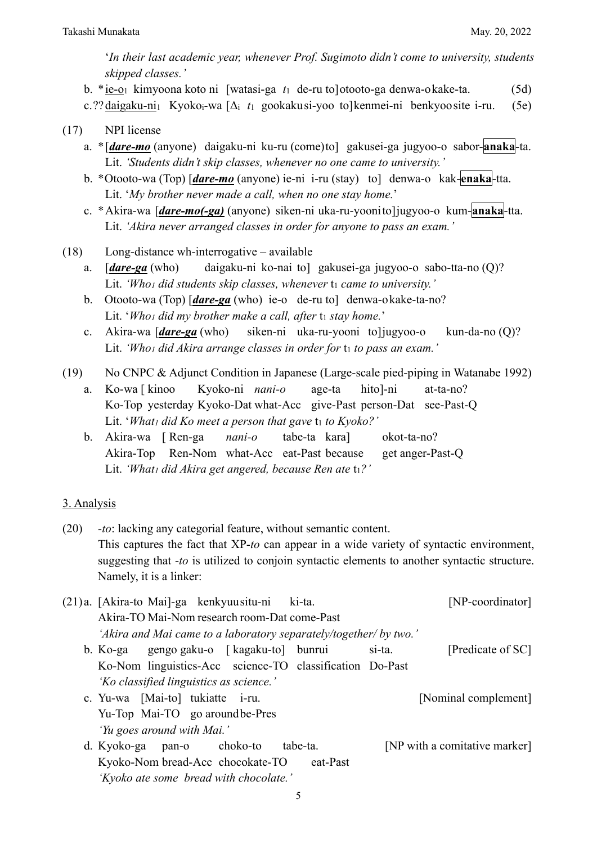'*In their last academic year, whenever Prof. Sugimoto didn't come to university, students skipped classes.'* 

b. \*ie-o1 kimyoona koto ni [watasi-ga *t*<sup>1</sup> de-ru to]otooto-ga denwa-okake-ta. (5d)

c.??daigaku-ni1 Kyokoi-wa [Δ<sup>i</sup> *t*<sup>1</sup> gookakusi-yoo to]kenmei-ni benkyoosite i-ru. (5e)

#### (17) NPI license

- a. \*[*dare-mo* (anyone) daigaku-ni ku-ru (come)to] gakusei-ga jugyoo-o sabor-**anaka**-ta. Lit. *'Students didn't skip classes, whenever no one came to university.'*
- b. \*Otooto-wa (Top) [*dare-mo* (anyone) ie-ni i-ru (stay) to] denwa-o kak-**enaka**-tta. Lit. '*My brother never made a call, when no one stay home.*'
- c. \*Akira-wa [*dare-mo(-ga)* (anyone) siken-ni uka-ru-yoonito]jugyoo-o kum-**anaka**-tta. Lit. *'Akira never arranged classes in order for anyone to pass an exam.'*
- (18) Long-distance wh-interrogative available
	- a. [*dare-ga* (who) daigaku-ni ko-nai to] gakusei-ga jugyoo-o sabo-tta-no (Q)? Lit. 'Who1 did students skip classes, whenever t1 came to university.'
	- b. Otooto-wa (Top) [*dare-ga* (who) ie-o de-ru to] denwa-okake-ta-no? Lit. 'Who1 did my brother make a call, after t1 stay home.'
	- c. Akira-wa [*dare-ga* (who) siken-ni uka-ru-yooni to]jugyoo-o kun-da-no (Q)? Lit. 'Who1 did Akira arrange classes in order for  $t_1$  to pass an exam.'
- (19) No CNPC & Adjunct Condition in Japanese (Large-scale pied-piping in Watanabe 1992)
	- a. Ko-wa [ kinoo Kyoko-ni *nani-o* age-ta hito]-ni at-ta-no? Ko-Top yesterday Kyoko-Dat what-Acc give-Past person-Dat see-Past-Q Lit. 'What<sub>1</sub> did Ko meet a person that gave t<sub>1</sub> to *Kyoko?'*
	- b. Akira-wa [ Ren-ga *nani-o* tabe-ta kara] okot-ta-no? Akira-Top Ren-Nom what-Acc eat-Past because get anger-Past-Q Lit. 'What<sub>1</sub> did Akira get angered, because Ren ate  $t_1$ ?'

## 3. Analysis

- (20) *-to*: lacking any categorial feature, without semantic content. This captures the fact that XP-*to* can appear in a wide variety of syntactic environment, suggesting that -*to* is utilized to conjoin syntactic elements to another syntactic structure. Namely, it is a linker:
- (21)a. [Akira-to Mai]-ga kenkyuusitu-ni ki-ta. [NP-coordinator] Akira-TO Mai-Nom research room-Dat come-Past *'Akira and Mai came to a laboratory separately/together/ by two.'* b. Ko-ga gengo gaku-o [ kagaku-to] bunrui si-ta. [Predicate of SC] Ko-Nom linguistics-Acc science-TO classification Do-Past *'Ko classified linguistics as science.'* c. Yu-wa [Mai-to] tukiatte i-ru. [Nominal complement] Yu-Top Mai-TO go aroundbe-Pres *'Yu goes around with Mai.'* d. Kyoko-ga pan-o choko-to tabe-ta. [NP with a comitative marker] Kyoko-Nom bread-Acc chocokate-TO eat-Past *'Kyoko ate some bread with chocolate.'*
	- 5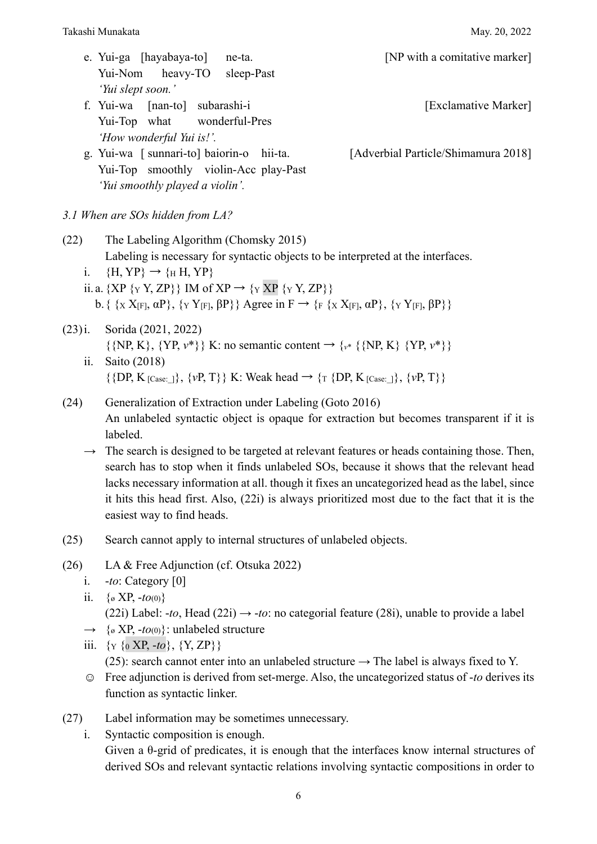|                                        | Takashi Munakata<br>May. 20, 2022                                                                                                                                                                                                                                                                                                                                                                                                                                                                                                                                                         |
|----------------------------------------|-------------------------------------------------------------------------------------------------------------------------------------------------------------------------------------------------------------------------------------------------------------------------------------------------------------------------------------------------------------------------------------------------------------------------------------------------------------------------------------------------------------------------------------------------------------------------------------------|
|                                        | e. Yui-ga [hayabaya-to] ne-ta.<br>[NP with a comitative marker]<br>Yui-Nom heavy-TO<br>sleep-Past<br>'Yui slept soon.'                                                                                                                                                                                                                                                                                                                                                                                                                                                                    |
|                                        | f. Yui-wa [nan-to] subarashi-i<br>[Exclamative Marker]<br>Yui-Top what wonderful-Pres<br>'How wonderful Yui is!'.                                                                                                                                                                                                                                                                                                                                                                                                                                                                         |
|                                        | g. Yui-wa [ sunnari-to] baiorin-o hii-ta.<br>[Adverbial Particle/Shimamura 2018]<br>Yui-Top smoothly violin-Acc play-Past<br>'Yui smoothly played a violin'.                                                                                                                                                                                                                                                                                                                                                                                                                              |
|                                        | 3.1 When are SOs hidden from LA?                                                                                                                                                                                                                                                                                                                                                                                                                                                                                                                                                          |
| (22)<br>$\mathbf{i}$ .                 | The Labeling Algorithm (Chomsky 2015)<br>Labeling is necessary for syntactic objects to be interpreted at the interfaces.<br>$\{H,YP\} \rightarrow \{H,YP\}$<br>ii. a. {XP { $Y$ Y, ZP}} IM of XP $\rightarrow$ { $Y$ XP { $Y$ Y, ZP}}<br>b. { {x X <sub>[F]</sub> , $\alpha$ P}, {y Y <sub>[F]</sub> , $\beta$ P}} Agree in F $\rightarrow$ { <sub>F</sub> {x X <sub>[F]</sub> , $\alpha$ P}, {y Y <sub>[F]</sub> , $\beta$ P}}                                                                                                                                                          |
| $(23)$ i.<br>ii.                       | Sorida (2021, 2022)<br>$\{NP, K\}, \{YP, v^*\}\$ K: no semantic content $\rightarrow \{v^*\}\{NP, K\} \{YP, v^*\}$<br>Saito (2018)<br>$\{\{DP, K_{[Case:]}\}, \{vP, T\}\}\$ K: Weak head $\rightarrow \{\text{I} \{DP, K_{[Case:]}\}, \{vP, T\}\}\$                                                                                                                                                                                                                                                                                                                                       |
| (24)<br>$\rightarrow$                  | Generalization of Extraction under Labeling (Goto 2016)<br>An unlabeled syntactic object is opaque for extraction but becomes transparent if it is<br>labeled.<br>The search is designed to be targeted at relevant features or heads containing those. Then,<br>search has to stop when it finds unlabeled SOs, because it shows that the relevant head<br>lacks necessary information at all. though it fixes an uncategorized head as the label, since<br>it hits this head first. Also, (22i) is always prioritized most due to the fact that it is the<br>easiest way to find heads. |
| (25)                                   | Search cannot apply to internal structures of unlabeled objects.                                                                                                                                                                                                                                                                                                                                                                                                                                                                                                                          |
| (26)<br>i.<br>ii.<br>$\longrightarrow$ | LA & Free Adjunction (cf. Otsuka 2022)<br><i>-to</i> : Category $[0]$<br>$\{ \circ \text{XP}, -t o_{(0)} \}$<br>(22i) Label: -to, Head (22i) $\rightarrow$ -to: no categorial feature (28i), unable to provide a label<br>$\{ \circ \text{XP}, -\textit{to}(0) \}$ : unlabeled structure                                                                                                                                                                                                                                                                                                  |
| 111.                                   | $\{Y \{0 \text{ XP}, -to\}, \{Y, ZP\}\}\$<br>(25): search cannot enter into an unlabeled structure $\rightarrow$ The label is always fixed to Y.                                                                                                                                                                                                                                                                                                                                                                                                                                          |

- ☺ Free adjunction is derived from set-merge. Also, the uncategorized status of -*to* derives its function as syntactic linker.
- (27) Label information may be sometimes unnecessary.

i. Syntactic composition is enough. Given a θ-grid of predicates, it is enough that the interfaces know internal structures of derived SOs and relevant syntactic relations involving syntactic compositions in order to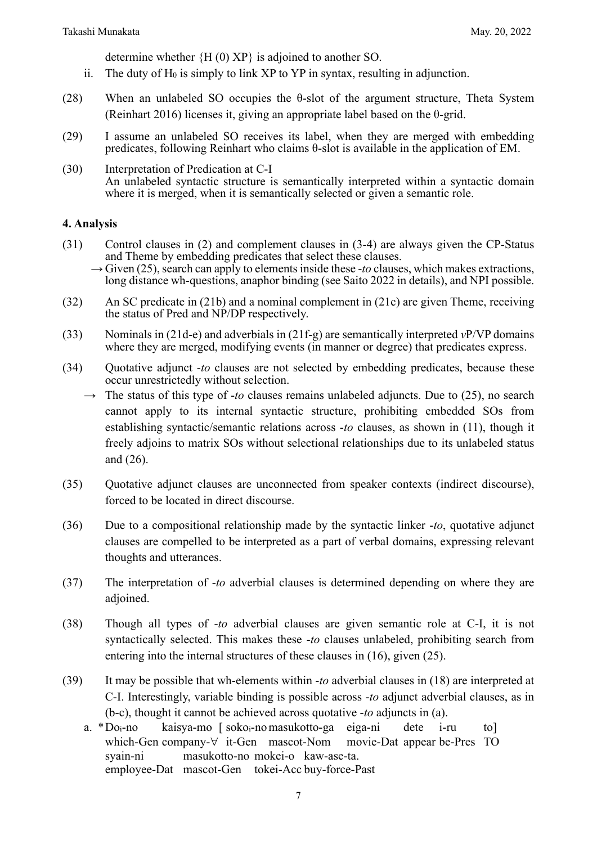determine whether {H (0) XP} is adjoined to another SO.

- ii. The duty of  $H_0$  is simply to link XP to YP in syntax, resulting in adjunction.
- (28) When an unlabeled SO occupies the θ-slot of the argument structure, Theta System (Reinhart 2016) licenses it, giving an appropriate label based on the θ-grid.
- (29) I assume an unlabeled SO receives its label, when they are merged with embedding predicates, following Reinhart who claims θ-slot is available in the application of EM.
- (30) Interpretation of Predication at C-I An unlabeled syntactic structure is semantically interpreted within a syntactic domain where it is merged, when it is semantically selected or given a semantic role.

#### **4. Analysis**

- (31) Control clauses in (2) and complement clauses in (3-4) are always given the CP-Status
	- $\rightarrow$  Given (25), search can apply to elements inside these -*to* clauses, which makes extractions, long distance wh-questions, anaphor binding (see Saito 2022 in details), and NPI possible.
- (32) An SC predicate in (21b) and a nominal complement in (21c) are given Theme, receiving the status of Pred and NP/DP respectively.
- (33) Nominals in (21d-e) and adverbials in (21f-g) are semantically interpreted *v*P/VP domains where they are merged, modifying events (in manner or degree) that predicates express.
- (34) Quotative adjunct -*to* clauses are not selected by embedding predicates, because these occur unrestrictedly without selection.
	- $\rightarrow$  The status of this type of *-to* clauses remains unlabeled adjuncts. Due to (25), no search cannot apply to its internal syntactic structure, prohibiting embedded SOs from establishing syntactic/semantic relations across -*to* clauses, as shown in (11), though it freely adjoins to matrix SOs without selectional relationships due to its unlabeled status and (26).
- (35) Quotative adjunct clauses are unconnected from speaker contexts (indirect discourse), forced to be located in direct discourse.
- (36) Due to a compositional relationship made by the syntactic linker -*to*, quotative adjunct clauses are compelled to be interpreted as a part of verbal domains, expressing relevant thoughts and utterances.
- (37) The interpretation of -*to* adverbial clauses is determined depending on where they are adjoined.
- (38) Though all types of -*to* adverbial clauses are given semantic role at C-I, it is not syntactically selected. This makes these -*to* clauses unlabeled, prohibiting search from entering into the internal structures of these clauses in (16), given (25).
- (39) It may be possible that wh-elements within -*to* adverbial clauses in (18) are interpreted at C-I. Interestingly, variable binding is possible across -*to* adjunct adverbial clauses, as in (b-c), thought it cannot be achieved across quotative -*to* adjuncts in (a).
	- a. \*Doi-no kaisya-mo [ sokoi-nomasukotto-ga eiga-ni dete i-ru to] which-Gen company-∀ it-Gen mascot-Nom movie-Dat appear be-Pres TO syain-ni masukotto-no mokei-o kaw-ase-ta. employee-Dat mascot-Gen tokei-Acc buy-force-Past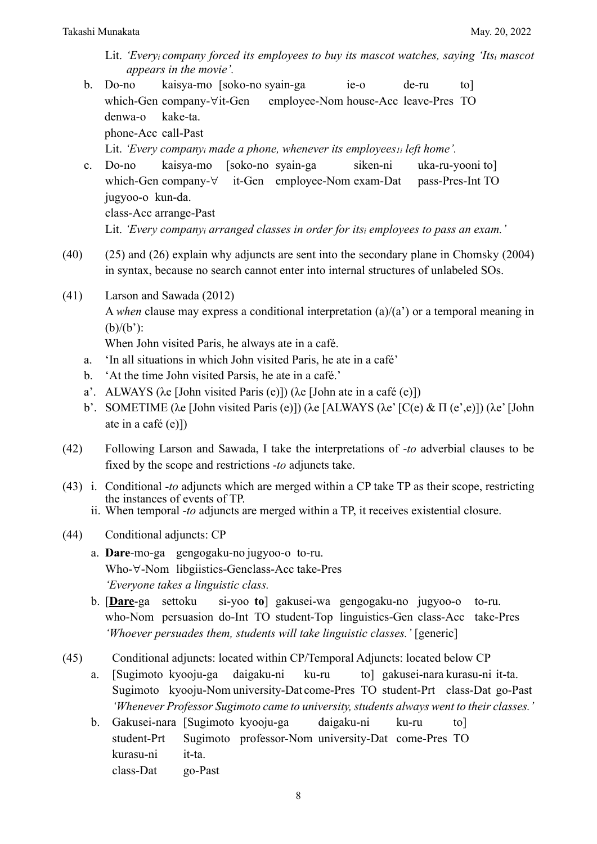- Lit. *'Everyi company forced its employees to buy its mascot watches, saying 'Itsi mascot appears in the movie'.*
- b. Do-no kaisya-mo [soko-no syain-ga ie-o de-ru to] which-Gen company-∀it-Gen employee-Nom house-Acc leave-Pres TO denwa-o kake-ta. phone-Acc call-Past Lit. *'Every companyi made a phone, whenever its employees1i left home'.*
- c. Do-no kaisya-mo [soko-no syain-ga siken-ni uka-ru-yooni to] which-Gen company-∀ it-Gen employee-Nom exam-Dat pass-Pres-Int TO jugyoo-o kun-da. class-Acc arrange-Past Lit. *'Every companyi arranged classes in order for itsi employees to pass an exam.'*
- (40) (25) and (26) explain why adjuncts are sent into the secondary plane in Chomsky (2004) in syntax, because no search cannot enter into internal structures of unlabeled SOs.
- (41) Larson and Sawada (2012) A *when* clause may express a conditional interpretation (a)/(a') or a temporal meaning in  $(b)/(b')$ :

When John visited Paris, he always ate in a café.

- a. 'In all situations in which John visited Paris, he ate in a café'
- b. 'At the time John visited Parsis, he ate in a café.'
- a'. ALWAYS (λe [John visited Paris (e)]) (λe [John ate in a café (e)])
- b'. SOMETIME (λe [John visited Paris (e)]) (λe [ALWAYS (λe'[C(e) & Π (e',e)]) (λe'[John ate in a café (e)])
- (42) Following Larson and Sawada, I take the interpretations of -*to* adverbial clauses to be fixed by the scope and restrictions -*to* adjuncts take.
- (43) i. Conditional -*to* adjuncts which are merged within a CP take TP as their scope, restricting the instances of events of TP.
	- ii. When temporal -*to* adjuncts are merged within a TP, it receives existential closure.
- (44) Conditional adjuncts: CP
	- a. **Dare**-mo-ga gengogaku-no jugyoo-o to-ru. Who-∀-Nom libgiistics-Genclass-Acc take-Pres *'Everyone takes a linguistic class.*
	- b. [**Dare**-ga settoku si-yoo **to**] gakusei-wa gengogaku-no jugyoo-o to-ru. who-Nom persuasion do-Int TO student-Top linguistics-Gen class-Acc take-Pres *'Whoever persuades them, students will take linguistic classes.'* [generic]
- (45) Conditional adjuncts: located within CP/Temporal Adjuncts: located below CP
	- a. [Sugimoto kyooju-ga daigaku-ni ku-ru to] gakusei-nara kurasu-ni it-ta. Sugimoto kyooju-Nom university-Dat come-Pres TO student-Prt class-Dat go-Past *'Whenever Professor Sugimoto came to university, students always went to their classes.'*
	- b. Gakusei-nara [Sugimoto kyooju-ga daigaku-ni ku-ru to] student-Prt Sugimoto professor-Nom university-Dat come-Pres TO kurasu-ni it-ta. class-Dat go-Past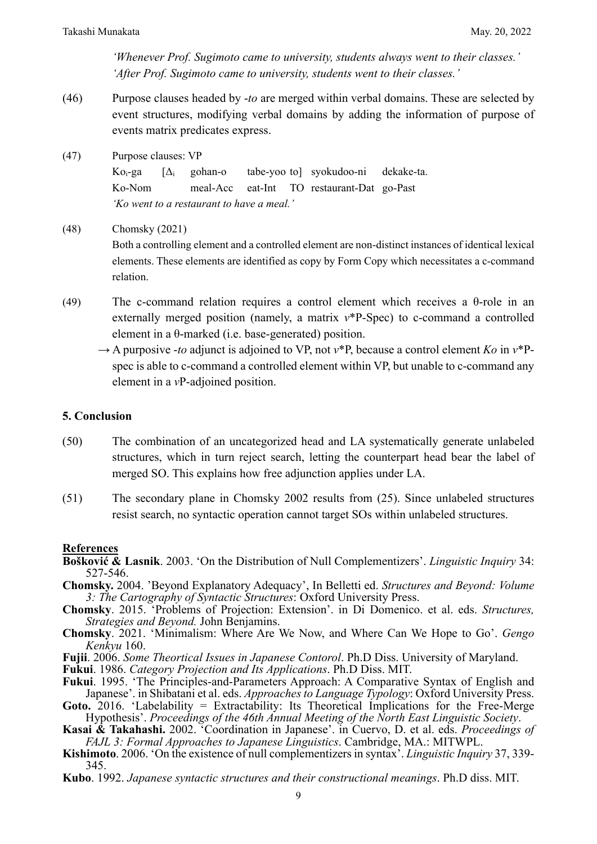*'Whenever Prof. Sugimoto came to university, students always went to their classes.' 'After Prof. Sugimoto came to university, students went to their classes.'*

- (46) Purpose clauses headed by -*to* are merged within verbal domains. These are selected by event structures, modifying verbal domains by adding the information of purpose of events matrix predicates express.
- (47) Purpose clauses: VP

Ko $_i$ -ga [ $\Delta_i$  gohan-o tabe-yoo tol syokudoo-ni dekake-ta. Ko-Nom meal-Acc eat-Int TO restaurant-Dat go-Past *'Ko went to a restaurant to have a meal.'*

(48) Chomsky (2021)

Both a controlling element and a controlled element are non-distinct instances of identical lexical elements. These elements are identified as copy by Form Copy which necessitates a c-command relation.

- (49) The c-command relation requires a control element which receives a  $\theta$ -role in an externally merged position (namely, a matrix  $v^*P-Spec$ ) to c-command a controlled element in a θ-marked (i.e. base-generated) position.
	- $\rightarrow$  A purposive *-to* adjunct is adjoined to VP, not  $v^*P$ , because a control element *Ko* in  $v^*P$ spec is able to c-command a controlled element within VP, but unable to c-command any element in a *v*P-adjoined position.

#### **5. Conclusion**

- (50) The combination of an uncategorized head and LA systematically generate unlabeled structures, which in turn reject search, letting the counterpart head bear the label of merged SO. This explains how free adjunction applies under LA.
- (51) The secondary plane in Chomsky 2002 results from (25). Since unlabeled structures resist search, no syntactic operation cannot target SOs within unlabeled structures.

#### **References**

- **Bošković & Lasnik**. 2003. 'On the Distribution of Null Complementizers'. *Linguistic Inquiry* 34: 527-546.
- **Chomsky.** 2004. 'Beyond Explanatory Adequacy', In Belletti ed. *Structures and Beyond: Volume 3: The Cartography of Syntactic Structures*: Oxford University Press.
- **Chomsky**. 2015. 'Problems of Projection: Extension'. in Di Domenico. et al. eds. *Structures, Strategies and Beyond.* John Benjamins.
- **Chomsky**. 2021. 'Minimalism: Where Are We Now, and Where Can We Hope to Go'. *Gengo Kenkyu* 160.
- **Fujii**. 2006. *Some Theortical Issues in Japanese Contorol*. Ph.D Diss. University of Maryland.

**Fukui**. 1986. *Category Projection and Its Applications*. Ph.D Diss. MIT.

- **Fukui**. 1995. 'The Principles-and-Parameters Approach: A Comparative Syntax of English and Japanese'. in Shibatani et al. eds. *Approaches to Language Typology*: Oxford University Press.
- Goto. 2016. 'Labelability = Extractability: Its Theoretical Implications for the Free-Merge Hypothesis'. *Proceedings of the 46th Annual Meeting of the North East Linguistic Society*.
- **Kasai & Takahashi.** 2002. 'Coordination in Japanese'. in Cuervo, D. et al. eds. *Proceedings of FAJL 3: Formal Approaches to Japanese Linguistics*. Cambridge, MA.: MITWPL.
- **Kishimoto**. 2006. 'On the existence of null complementizers in syntax'. *Linguistic Inquiry* 37, 339- 345.
- **Kubo**. 1992. *Japanese syntactic structures and their constructional meanings*. Ph.D diss. MIT.